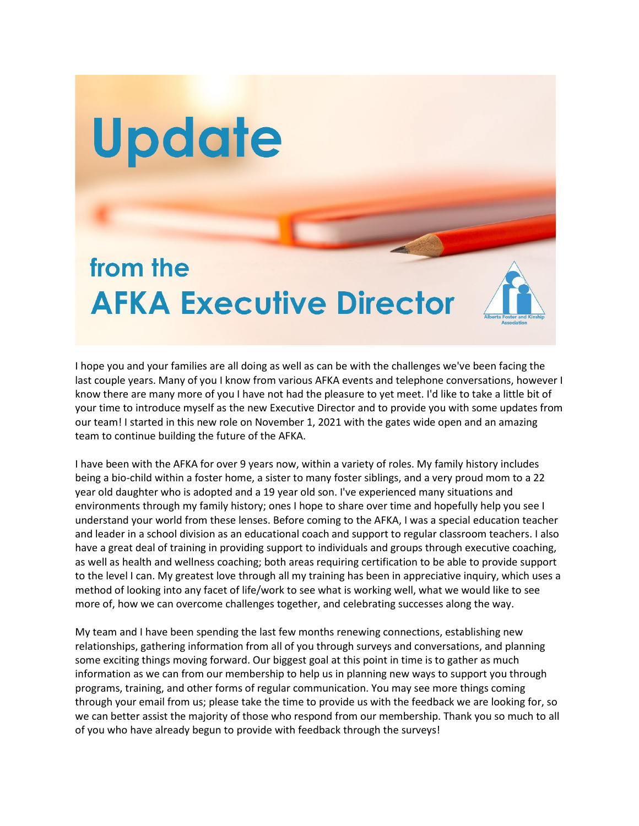## from the **AFKA Executive Director**

Update

I hope you and your families are all doing as well as can be with the challenges we've been facing the last couple years. Many of you I know from various AFKA events and telephone conversations, however I know there are many more of you I have not had the pleasure to yet meet. I'd like to take a little bit of your time to introduce myself as the new Executive Director and to provide you with some updates from our team! I started in this new role on November 1, 2021 with the gates wide open and an amazing team to continue building the future of the AFKA.

I have been with the AFKA for over 9 years now, within a variety of roles. My family history includes being a bio-child within a foster home, a sister to many foster siblings, and a very proud mom to a 22 year old daughter who is adopted and a 19 year old son. I've experienced many situations and environments through my family history; ones I hope to share over time and hopefully help you see I understand your world from these lenses. Before coming to the AFKA, I was a special education teacher and leader in a school division as an educational coach and support to regular classroom teachers. I also have a great deal of training in providing support to individuals and groups through executive coaching, as well as health and wellness coaching; both areas requiring certification to be able to provide support to the level I can. My greatest love through all my training has been in appreciative inquiry, which uses a method of looking into any facet of life/work to see what is working well, what we would like to see more of, how we can overcome challenges together, and celebrating successes along the way.

My team and I have been spending the last few months renewing connections, establishing new relationships, gathering information from all of you through surveys and conversations, and planning some exciting things moving forward. Our biggest goal at this point in time is to gather as much information as we can from our membership to help us in planning new ways to support you through programs, training, and other forms of regular communication. You may see more things coming through your email from us; please take the time to provide us with the feedback we are looking for, so we can better assist the majority of those who respond from our membership. Thank you so much to all of you who have already begun to provide with feedback through the surveys!